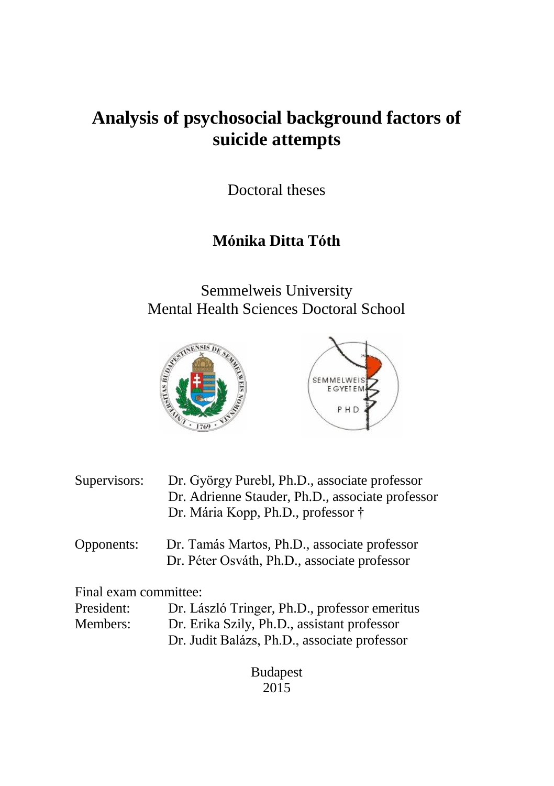# **Analysis of psychosocial background factors of suicide attempts**

Doctoral theses

# **Mónika Ditta Tóth**

Semmelweis University Mental Health Sciences Doctoral School



- Supervisors: Dr. György Purebl, Ph.D., associate professor Dr. Adrienne Stauder, Ph.D., associate professor Dr. Mária Kopp, Ph.D., professor †
- Opponents: Dr. Tamás Martos, Ph.D., associate professor Dr. Péter Osváth, Ph.D., associate professor

Final exam committee:

| President: | Dr. László Tringer, Ph.D., professor emeritus |
|------------|-----------------------------------------------|
| Members:   | Dr. Erika Szily, Ph.D., assistant professor   |
|            | Dr. Judit Balázs, Ph.D., associate professor  |

Budapest 2015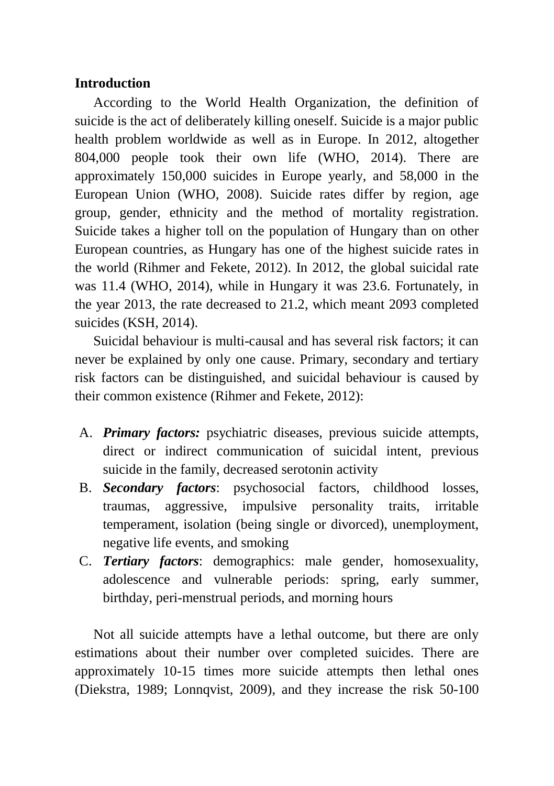# **Introduction**

According to the World Health Organization, the definition of suicide is the act of deliberately killing oneself. Suicide is a major public health problem worldwide as well as in Europe. In 2012, altogether 804,000 people took their own life (WHO, 2014). There are approximately 150,000 suicides in Europe yearly, and 58,000 in the European Union (WHO, 2008). Suicide rates differ by region, age group, gender, ethnicity and the method of mortality registration. Suicide takes a higher toll on the population of Hungary than on other European countries, as Hungary has one of the highest suicide rates in the world (Rihmer and Fekete, 2012). In 2012, the global suicidal rate was 11.4 (WHO, 2014), while in Hungary it was 23.6. Fortunately, in the year 2013, the rate decreased to 21.2, which meant 2093 completed suicides (KSH, 2014).

Suicidal behaviour is multi-causal and has several risk factors; it can never be explained by only one cause. Primary, secondary and tertiary risk factors can be distinguished, and suicidal behaviour is caused by their common existence (Rihmer and Fekete, 2012):

- A. *Primary factors:* psychiatric diseases, previous suicide attempts, direct or indirect communication of suicidal intent, previous suicide in the family, decreased serotonin activity
- B. *Secondary factors*: psychosocial factors, childhood losses, traumas, aggressive, impulsive personality traits, irritable temperament, isolation (being single or divorced), unemployment, negative life events, and smoking
- C. *Tertiary factors*: demographics: male gender, homosexuality, adolescence and vulnerable periods: spring, early summer, birthday, peri-menstrual periods, and morning hours

Not all suicide attempts have a lethal outcome, but there are only estimations about their number over completed suicides. There are approximately 10-15 times more suicide attempts then lethal ones (Diekstra, 1989; Lonnqvist, 2009), and they increase the risk 50-100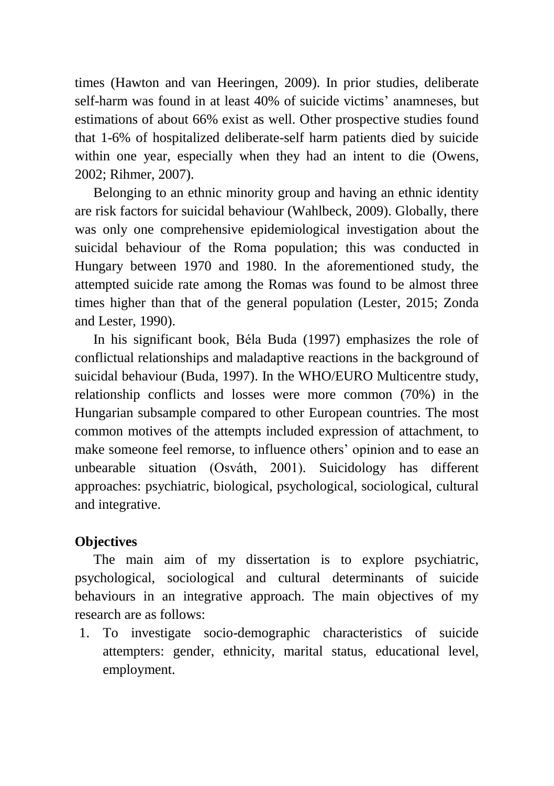times (Hawton and van Heeringen, 2009). In prior studies, deliberate self-harm was found in at least 40% of suicide victims' anamneses, but estimations of about 66% exist as well. Other prospective studies found that 1-6% of hospitalized deliberate-self harm patients died by suicide within one year, especially when they had an intent to die (Owens, 2002; Rihmer, 2007).

Belonging to an ethnic minority group and having an ethnic identity are risk factors for suicidal behaviour (Wahlbeck, 2009). Globally, there was only one comprehensive epidemiological investigation about the suicidal behaviour of the Roma population; this was conducted in Hungary between 1970 and 1980. In the aforementioned study, the attempted suicide rate among the Romas was found to be almost three times higher than that of the general population (Lester, 2015; Zonda and Lester, 1990).

In his significant book, Béla Buda (1997) emphasizes the role of conflictual relationships and maladaptive reactions in the background of suicidal behaviour (Buda, 1997). In the WHO/EURO Multicentre study, relationship conflicts and losses were more common (70%) in the Hungarian subsample compared to other European countries. The most common motives of the attempts included expression of attachment, to make someone feel remorse, to influence others' opinion and to ease an unbearable situation (Osváth, 2001). Suicidology has different approaches: psychiatric, biological, psychological, sociological, cultural and integrative.

# **Objectives**

The main aim of my dissertation is to explore psychiatric, psychological, sociological and cultural determinants of suicide behaviours in an integrative approach. The main objectives of my research are as follows:

1. To investigate socio-demographic characteristics of suicide attempters: gender, ethnicity, marital status, educational level, employment.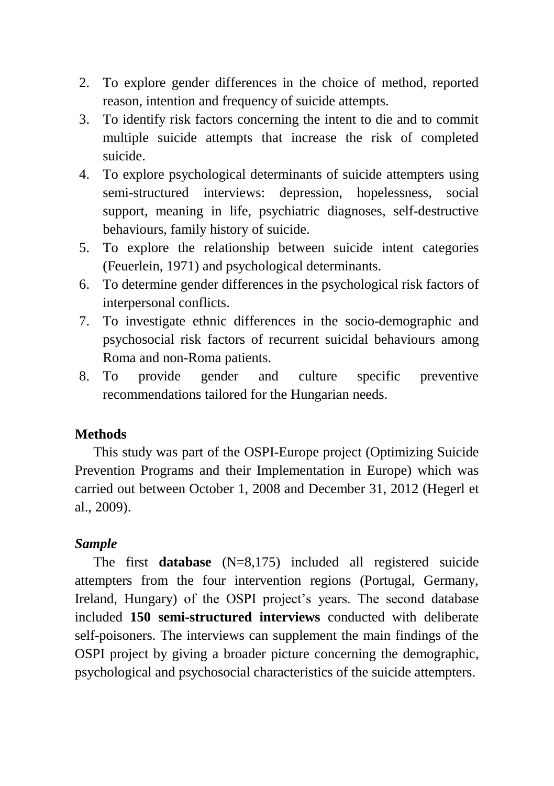- 2. To explore gender differences in the choice of method, reported reason, intention and frequency of suicide attempts.
- 3. To identify risk factors concerning the intent to die and to commit multiple suicide attempts that increase the risk of completed suicide.
- 4. To explore psychological determinants of suicide attempters using semi-structured interviews: depression, hopelessness, social support, meaning in life, psychiatric diagnoses, self-destructive behaviours, family history of suicide.
- 5. To explore the relationship between suicide intent categories (Feuerlein, 1971) and psychological determinants.
- 6. To determine gender differences in the psychological risk factors of interpersonal conflicts.
- 7. To investigate ethnic differences in the socio-demographic and psychosocial risk factors of recurrent suicidal behaviours among Roma and non-Roma patients.
- 8. To provide gender and culture specific preventive recommendations tailored for the Hungarian needs.

# **Methods**

This study was part of the OSPI-Europe project (Optimizing Suicide Prevention Programs and their Implementation in Europe) which was carried out between October 1, 2008 and December 31, 2012 (Hegerl et al., 2009).

# *Sample*

The first **database** (N=8,175) included all registered suicide attempters from the four intervention regions (Portugal, Germany, Ireland, Hungary) of the OSPI project's years. The second database included **150 semi-structured interviews** conducted with deliberate self-poisoners. The interviews can supplement the main findings of the OSPI project by giving a broader picture concerning the demographic, psychological and psychosocial characteristics of the suicide attempters.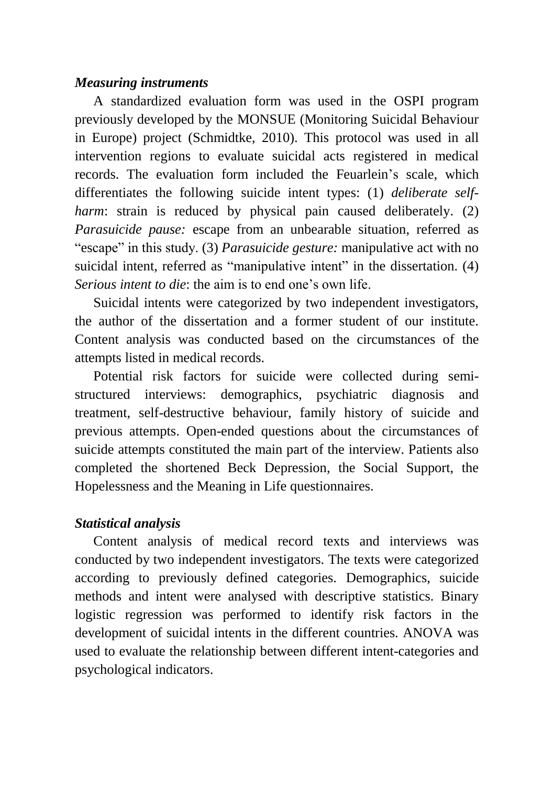### *Measuring instruments*

A standardized evaluation form was used in the OSPI program previously developed by the MONSUE (Monitoring Suicidal Behaviour in Europe) project (Schmidtke, 2010). This protocol was used in all intervention regions to evaluate suicidal acts registered in medical records. The evaluation form included the Feuarlein's scale, which differentiates the following suicide intent types: (1) *deliberate selfharm*: strain is reduced by physical pain caused deliberately. (2) *Parasuicide pause:* escape from an unbearable situation, referred as "escape" in this study. (3) *Parasuicide gesture:* manipulative act with no suicidal intent, referred as "manipulative intent" in the dissertation. (4) *Serious intent to die*: the aim is to end one's own life.

Suicidal intents were categorized by two independent investigators, the author of the dissertation and a former student of our institute. Content analysis was conducted based on the circumstances of the attempts listed in medical records.

Potential risk factors for suicide were collected during semistructured interviews: demographics, psychiatric diagnosis and treatment, self-destructive behaviour, family history of suicide and previous attempts. Open-ended questions about the circumstances of suicide attempts constituted the main part of the interview. Patients also completed the shortened Beck Depression, the Social Support, the Hopelessness and the Meaning in Life questionnaires.

# *Statistical analysis*

Content analysis of medical record texts and interviews was conducted by two independent investigators. The texts were categorized according to previously defined categories. Demographics, suicide methods and intent were analysed with descriptive statistics. Binary logistic regression was performed to identify risk factors in the development of suicidal intents in the different countries. ANOVA was used to evaluate the relationship between different intent-categories and psychological indicators.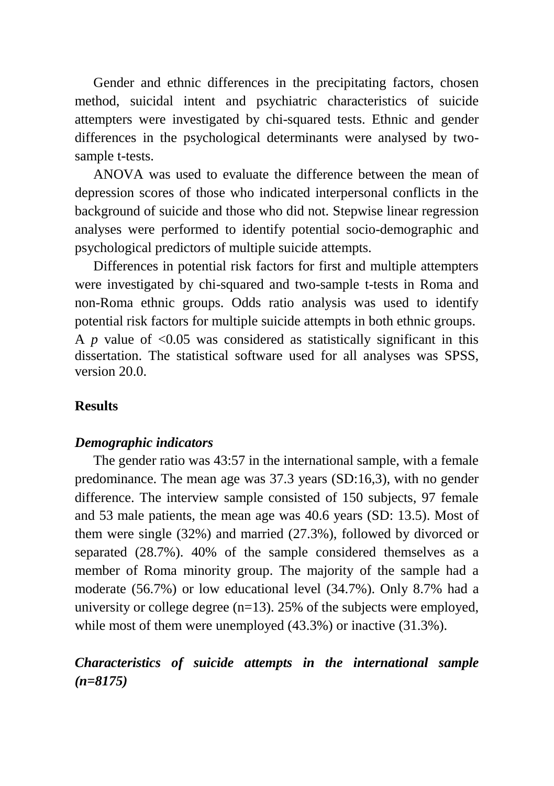Gender and ethnic differences in the precipitating factors, chosen method, suicidal intent and psychiatric characteristics of suicide attempters were investigated by chi-squared tests. Ethnic and gender differences in the psychological determinants were analysed by twosample t-tests.

ANOVA was used to evaluate the difference between the mean of depression scores of those who indicated interpersonal conflicts in the background of suicide and those who did not. Stepwise linear regression analyses were performed to identify potential socio-demographic and psychological predictors of multiple suicide attempts.

Differences in potential risk factors for first and multiple attempters were investigated by chi-squared and two-sample t-tests in Roma and non-Roma ethnic groups. Odds ratio analysis was used to identify potential risk factors for multiple suicide attempts in both ethnic groups. A  $p$  value of  $\leq 0.05$  was considered as statistically significant in this dissertation. The statistical software used for all analyses was SPSS, version 20.0.

### **Results**

#### *Demographic indicators*

The gender ratio was 43:57 in the international sample, with a female predominance. The mean age was 37.3 years (SD:16,3), with no gender difference. The interview sample consisted of 150 subjects, 97 female and 53 male patients, the mean age was 40.6 years (SD: 13.5). Most of them were single (32%) and married (27.3%), followed by divorced or separated (28.7%). 40% of the sample considered themselves as a member of Roma minority group. The majority of the sample had a moderate (56.7%) or low educational level (34.7%). Only 8.7% had a university or college degree  $(n=13)$ . 25% of the subjects were employed, while most of them were unemployed  $(43.3\%)$  or inactive  $(31.3\%)$ .

# *Characteristics of suicide attempts in the international sample (n=8175)*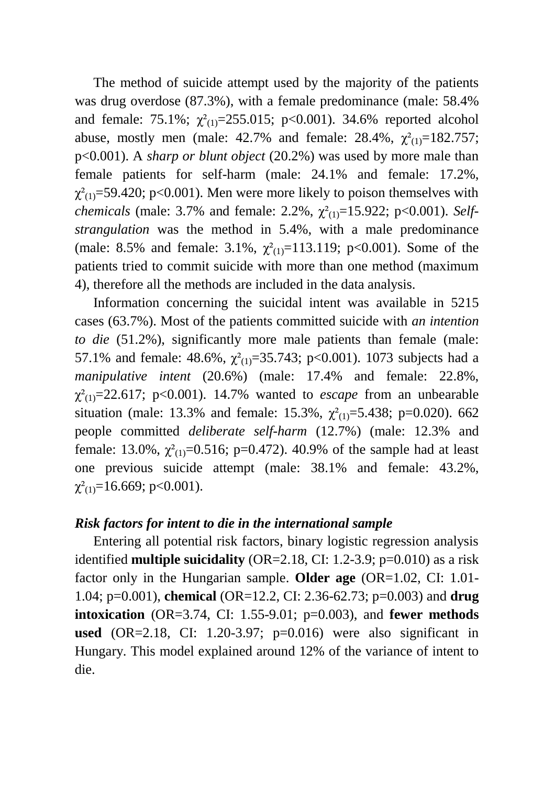The method of suicide attempt used by the majority of the patients was drug overdose (87.3%), with a female predominance (male: 58.4% and female: 75.1%;  $\chi^2_{(1)} = 255.015$ ; p<0.001). 34.6% reported alcohol abuse, mostly men (male: 42.7% and female: 28.4%,  $\chi^2_{(1)}$ =182.757; p<0.001). A *sharp or blunt object* (20.2%) was used by more male than female patients for self-harm (male: 24.1% and female: 17.2%,  $\chi^2_{(1)}$ =59.420; p<0.001). Men were more likely to poison themselves with *chemicals* (male: 3.7% and female: 2.2%,  $χ_{(1)}^2$ =15.922; p<0.001). *Selfstrangulation* was the method in 5.4%, with a male predominance (male: 8.5% and female: 3.1%,  $\chi^2_{(1)}$ =113.119; p<0.001). Some of the patients tried to commit suicide with more than one method (maximum 4), therefore all the methods are included in the data analysis.

Information concerning the suicidal intent was available in 5215 cases (63.7%). Most of the patients committed suicide with *an intention to die* (51.2%), significantly more male patients than female (male: 57.1% and female: 48.6%,  $\chi^2(1) = 35.743$ ; p<0.001). 1073 subjects had a *manipulative intent* (20.6%) (male: 17.4% and female: 22.8%,  $\chi^2_{(1)}$ =22.617; p<0.001). 14.7% wanted to *escape* from an unbearable situation (male: 13.3% and female: 15.3%,  $\chi^2(1) = 5.438$ ; p=0.020). 662 people committed *deliberate self-harm* (12.7%) (male: 12.3% and female: 13.0%,  $\chi^2_{(1)}$ =0.516; p=0.472). 40.9% of the sample had at least one previous suicide attempt (male: 38.1% and female: 43.2%,  $\chi^2_{(1)}$ =16.669; p<0.001).

#### *Risk factors for intent to die in the international sample*

Entering all potential risk factors, binary logistic regression analysis identified **multiple suicidality** (OR=2.18, CI: 1.2-3.9; p=0.010) as a risk factor only in the Hungarian sample. **Older age** (OR=1.02, CI: 1.01- 1.04; p=0.001), **chemical** (OR=12.2, CI: 2.36-62.73; p=0.003) and **drug intoxication** (OR=3.74, CI: 1.55-9.01; p=0.003), and **fewer methods used** (OR=2.18, CI: 1.20-3.97; p=0.016) were also significant in Hungary. This model explained around 12% of the variance of intent to die.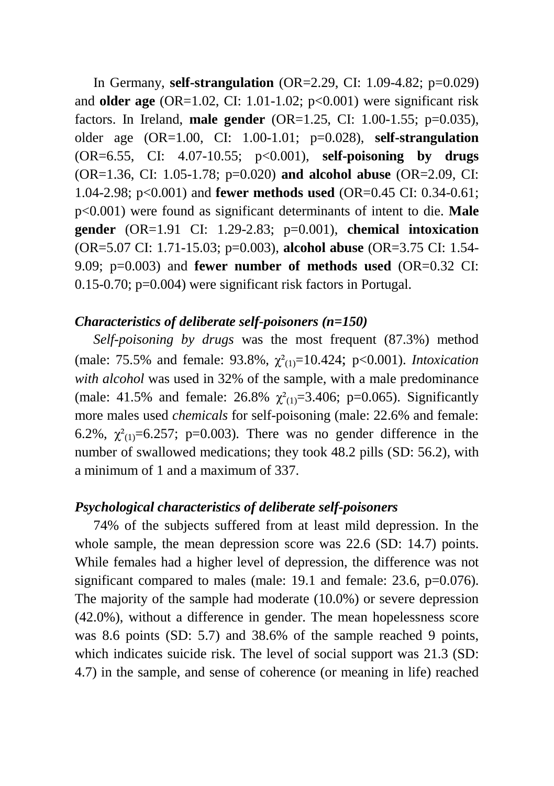In Germany, **self-strangulation** (OR=2.29, CI: 1.09-4.82; p=0.029) and **older age**  $(OR=1.02, CI: 1.01-1.02; p<0.001)$  were significant risk factors. In Ireland, **male gender** (OR=1.25, CI: 1.00-1.55; p=0.035), older age (OR=1.00, CI: 1.00-1.01; p=0.028), **self-strangulation**  (OR=6.55, CI: 4.07-10.55; p<0.001), **self-poisoning by drugs**  (OR=1.36, CI: 1.05-1.78; p=0.020) **and alcohol abuse** (OR=2.09, CI: 1.04-2.98; p<0.001) and **fewer methods used** (OR=0.45 CI: 0.34-0.61; p<0.001) were found as significant determinants of intent to die. **Male gender** (OR=1.91 CI: 1.29-2.83; p=0.001), **chemical intoxication**  (OR=5.07 CI: 1.71-15.03; p=0.003), **alcohol abuse** (OR=3.75 CI: 1.54- 9.09; p=0.003) and **fewer number of methods used** (OR=0.32 CI: 0.15-0.70; p=0.004) were significant risk factors in Portugal.

#### *Characteristics of deliberate self-poisoners (n=150)*

*Self-poisoning by drugs* was the most frequent (87.3%) method (male: 75.5% and female: 93.8%, χ²(1)=10.424; p<0.001). *Intoxication with alcohol* was used in 32% of the sample, with a male predominance (male: 41.5% and female: 26.8%  $\chi^2_{(1)}=3.406$ ; p=0.065). Significantly more males used *chemicals* for self-poisoning (male: 22.6% and female: 6.2%,  $\chi^2_{(1)}$ =6.257; p=0.003). There was no gender difference in the number of swallowed medications; they took 48.2 pills (SD: 56.2), with a minimum of 1 and a maximum of 337.

### *Psychological characteristics of deliberate self-poisoners*

74% of the subjects suffered from at least mild depression. In the whole sample, the mean depression score was 22.6 (SD: 14.7) points. While females had a higher level of depression, the difference was not significant compared to males (male: 19.1 and female: 23.6, p=0.076). The majority of the sample had moderate (10.0%) or severe depression (42.0%), without a difference in gender. The mean hopelessness score was 8.6 points (SD: 5.7) and 38.6% of the sample reached 9 points, which indicates suicide risk. The level of social support was 21.3 (SD: 4.7) in the sample, and sense of coherence (or meaning in life) reached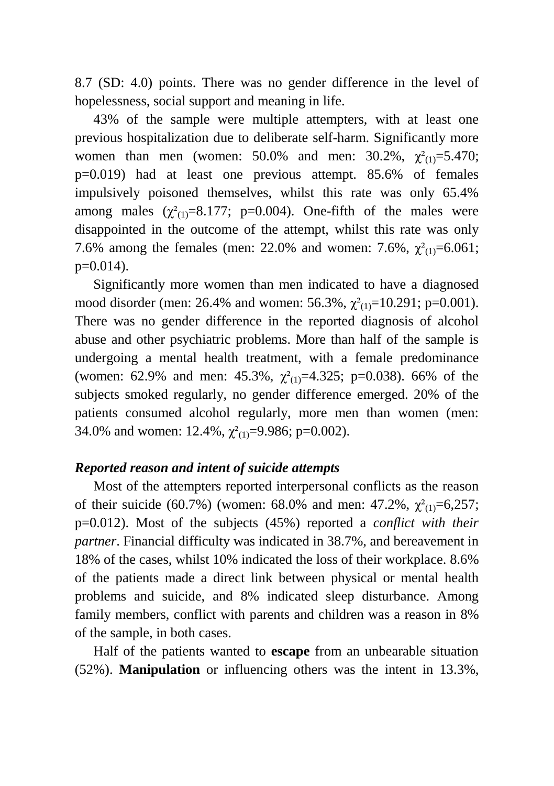8.7 (SD: 4.0) points. There was no gender difference in the level of hopelessness, social support and meaning in life.

43% of the sample were multiple attempters, with at least one previous hospitalization due to deliberate self-harm. Significantly more women than men (women: 50.0% and men: 30.2%,  $\chi^2(1) = 5.470$ ; p=0.019) had at least one previous attempt. 85.6% of females impulsively poisoned themselves, whilst this rate was only 65.4% among males  $(\chi^2_{(1)}=8.177; \text{ p}=0.004)$ . One-fifth of the males were disappointed in the outcome of the attempt, whilst this rate was only 7.6% among the females (men: 22.0% and women: 7.6%,  $\chi^2(1) = 6.061$ ;  $p=0.014$ ).

Significantly more women than men indicated to have a diagnosed mood disorder (men: 26.4% and women: 56.3%,  $\chi^2(1) = 10.291$ ; p=0.001). There was no gender difference in the reported diagnosis of alcohol abuse and other psychiatric problems. More than half of the sample is undergoing a mental health treatment, with a female predominance (women: 62.9% and men: 45.3%,  $\chi^2_{(1)}=4.325$ ; p=0.038). 66% of the subjects smoked regularly, no gender difference emerged. 20% of the patients consumed alcohol regularly, more men than women (men: 34.0% and women: 12.4%,  $\chi^2_{(1)} = 9.986$ ; p=0.002).

### *Reported reason and intent of suicide attempts*

Most of the attempters reported interpersonal conflicts as the reason of their suicide (60.7%) (women: 68.0% and men: 47.2%,  $\chi^2(1) = 6.257$ ; p=0.012). Most of the subjects (45%) reported a *conflict with their partner*. Financial difficulty was indicated in 38.7%, and bereavement in 18% of the cases, whilst 10% indicated the loss of their workplace. 8.6% of the patients made a direct link between physical or mental health problems and suicide, and 8% indicated sleep disturbance. Among family members, conflict with parents and children was a reason in 8% of the sample, in both cases.

Half of the patients wanted to **escape** from an unbearable situation (52%). **Manipulation** or influencing others was the intent in 13.3%,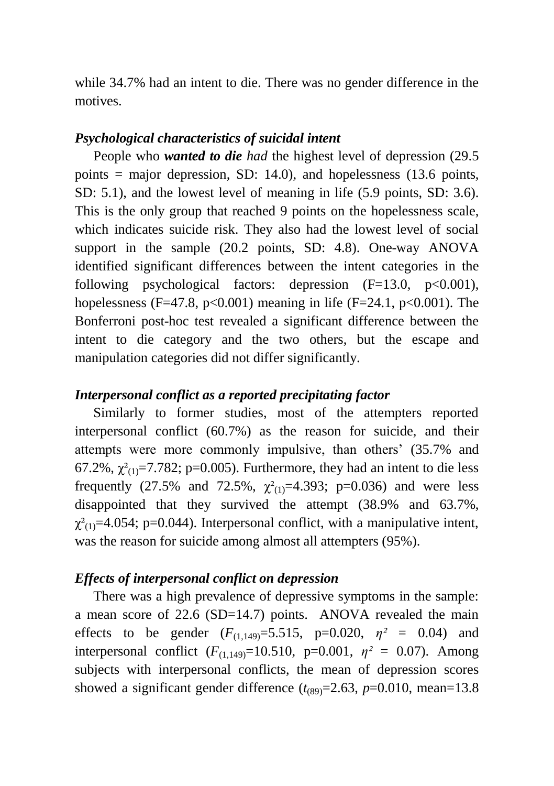while 34.7% had an intent to die. There was no gender difference in the motives.

# *Psychological characteristics of suicidal intent*

People who *wanted to die had* the highest level of depression (29.5 points  $=$  major depression, SD: 14.0), and hopelessness (13.6 points, SD: 5.1), and the lowest level of meaning in life (5.9 points, SD: 3.6). This is the only group that reached 9 points on the hopelessness scale, which indicates suicide risk. They also had the lowest level of social support in the sample (20.2 points, SD: 4.8). One-way ANOVA identified significant differences between the intent categories in the following psychological factors: depression  $(F=13.0, p<0.001)$ , hopelessness (F=47.8, p<0.001) meaning in life (F=24.1, p<0.001). The Bonferroni post-hoc test revealed a significant difference between the intent to die category and the two others, but the escape and manipulation categories did not differ significantly.

# *Interpersonal conflict as a reported precipitating factor*

Similarly to former studies, most of the attempters reported interpersonal conflict (60.7%) as the reason for suicide, and their attempts were more commonly impulsive, than others' (35.7% and 67.2%,  $\chi^2_{(1)}$ =7.782; p=0.005). Furthermore, they had an intent to die less frequently (27.5% and 72.5%,  $\chi^2_{(1)}=4.393$ ; p=0.036) and were less disappointed that they survived the attempt (38.9% and 63.7%,  $\chi^2_{(1)}$ =4.054; p=0.044). Interpersonal conflict, with a manipulative intent, was the reason for suicide among almost all attempters (95%).

# *Effects of interpersonal conflict on depression*

There was a high prevalence of depressive symptoms in the sample: a mean score of 22.6 (SD=14.7) points. ANOVA revealed the main effects to be gender  $(F_{(1,149)}=5.515, p=0.020, \eta^2 = 0.04)$  and interpersonal conflict  $(F_{(1,149)}=10.510, p=0.001, \eta^2 = 0.07)$ . Among subjects with interpersonal conflicts, the mean of depression scores showed a significant gender difference  $(t_{(89)}=2.63, p=0.010, \text{mean}=13.8$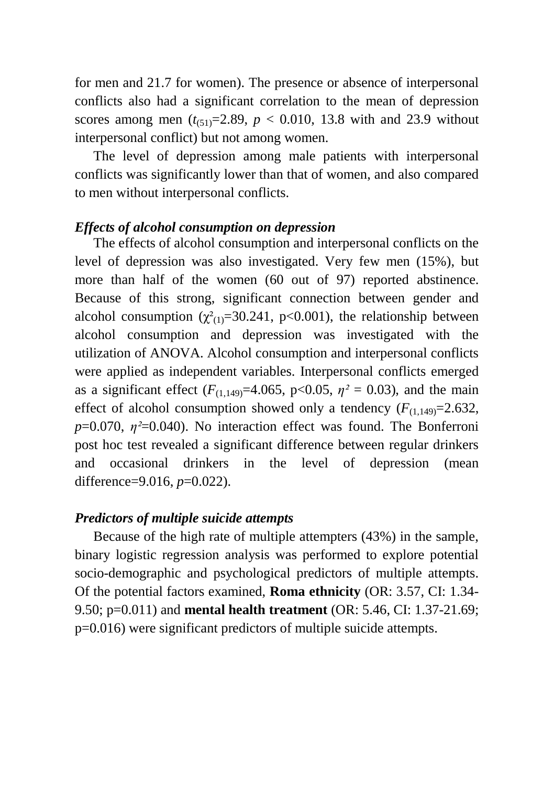for men and 21.7 for women). The presence or absence of interpersonal conflicts also had a significant correlation to the mean of depression scores among men  $(t_{(51)}=2.89, p < 0.010, 13.8$  with and 23.9 without interpersonal conflict) but not among women.

The level of depression among male patients with interpersonal conflicts was significantly lower than that of women, and also compared to men without interpersonal conflicts.

### *Effects of alcohol consumption on depression*

The effects of alcohol consumption and interpersonal conflicts on the level of depression was also investigated. Very few men (15%), but more than half of the women (60 out of 97) reported abstinence. Because of this strong, significant connection between gender and alcohol consumption  $(\chi^2_{(1)}=30.241, p<0.001)$ , the relationship between alcohol consumption and depression was investigated with the utilization of ANOVA. Alcohol consumption and interpersonal conflicts were applied as independent variables. Interpersonal conflicts emerged as a significant effect ( $F_{(1,149)}$ =4.065, p<0.05,  $\eta^2$  = 0.03), and the main effect of alcohol consumption showed only a tendency  $(F_{(1,149)}=2.632)$ , *p*=0.070, *η*<sup>2</sup>=0.040). No interaction effect was found. The Bonferroni post hoc test revealed a significant difference between regular drinkers and occasional drinkers in the level of depression (mean difference=9.016, *p*=0.022).

#### *Predictors of multiple suicide attempts*

Because of the high rate of multiple attempters (43%) in the sample, binary logistic regression analysis was performed to explore potential socio-demographic and psychological predictors of multiple attempts. Of the potential factors examined, **Roma ethnicity** (OR: 3.57, CI: 1.34- 9.50; p=0.011) and **mental health treatment** (OR: 5.46, CI: 1.37-21.69; p=0.016) were significant predictors of multiple suicide attempts.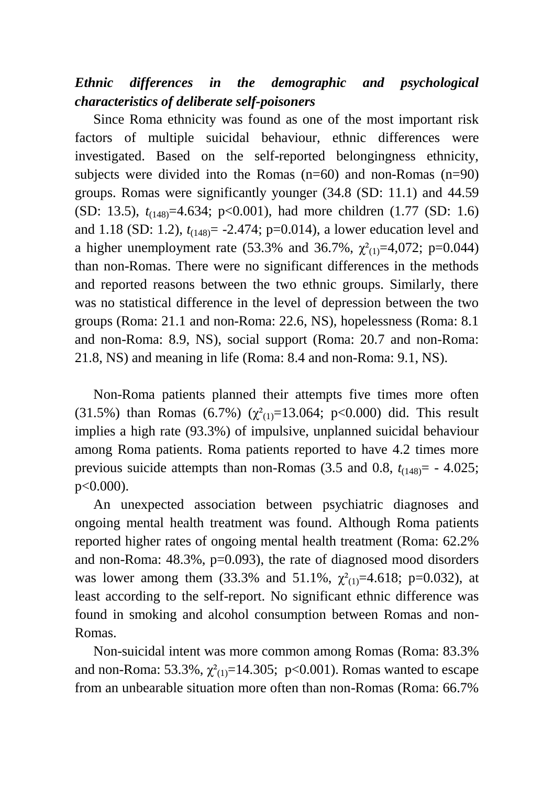# *Ethnic differences in the demographic and psychological characteristics of deliberate self-poisoners*

Since Roma ethnicity was found as one of the most important risk factors of multiple suicidal behaviour, ethnic differences were investigated. Based on the self-reported belongingness ethnicity, subjects were divided into the Romas  $(n=60)$  and non-Romas  $(n=90)$ groups. Romas were significantly younger (34.8 (SD: 11.1) and 44.59 (SD: 13.5), *t*(148)=4.634; p<0.001), had more children (1.77 (SD: 1.6) and 1.18 (SD: 1.2),  $t_{(148)} = -2.474$ ; p=0.014), a lower education level and a higher unemployment rate (53.3% and 36.7%,  $\chi^2_{(1)}=4.072$ ; p=0.044) than non-Romas. There were no significant differences in the methods and reported reasons between the two ethnic groups. Similarly, there was no statistical difference in the level of depression between the two groups (Roma: 21.1 and non-Roma: 22.6, NS), hopelessness (Roma: 8.1 and non-Roma: 8.9, NS), social support (Roma: 20.7 and non-Roma: 21.8, NS) and meaning in life (Roma: 8.4 and non-Roma: 9.1, NS).

Non-Roma patients planned their attempts five times more often (31.5%) than Romas (6.7%) ( $\chi^2_{(1)}$ =13.064; p<0.000) did. This result implies a high rate (93.3%) of impulsive, unplanned suicidal behaviour among Roma patients. Roma patients reported to have 4.2 times more previous suicide attempts than non-Romas  $(3.5 \text{ and } 0.8, t_{(148)} = -4.025)$ ; p<0.000).

An unexpected association between psychiatric diagnoses and ongoing mental health treatment was found. Although Roma patients reported higher rates of ongoing mental health treatment (Roma: 62.2% and non-Roma: 48.3%, p=0.093), the rate of diagnosed mood disorders was lower among them (33.3% and 51.1%,  $\chi^2(1) = 4.618$ ; p=0.032), at least according to the self-report. No significant ethnic difference was found in smoking and alcohol consumption between Romas and non-Romas.

Non-suicidal intent was more common among Romas (Roma: 83.3% and non-Roma: 53.3%,  $\chi^2_{(1)}$ =14.305; p<0.001). Romas wanted to escape from an unbearable situation more often than non-Romas (Roma: 66.7%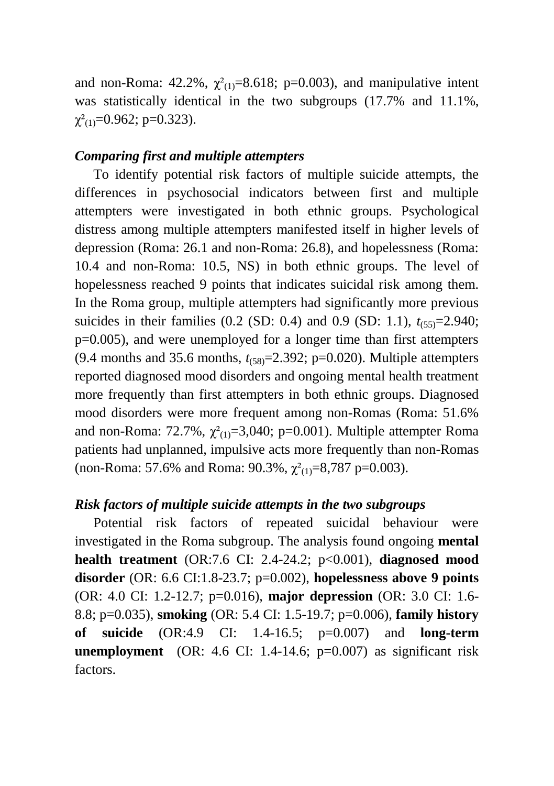and non-Roma: 42.2%,  $\chi^2_{(1)}=8.618$ ; p=0.003), and manipulative intent was statistically identical in the two subgroups (17.7% and 11.1%,  $\chi^2$ <sub>(1)</sub>=0.962; p=0.323).

#### *Comparing first and multiple attempters*

To identify potential risk factors of multiple suicide attempts, the differences in psychosocial indicators between first and multiple attempters were investigated in both ethnic groups. Psychological distress among multiple attempters manifested itself in higher levels of depression (Roma: 26.1 and non-Roma: 26.8), and hopelessness (Roma: 10.4 and non-Roma: 10.5, NS) in both ethnic groups. The level of hopelessness reached 9 points that indicates suicidal risk among them. In the Roma group, multiple attempters had significantly more previous suicides in their families  $(0.2 \text{ (SD: } 0.4)$  and  $(0.9 \text{ (SD: } 1.1), t_{(55)}=2.940)$ ; p=0.005), and were unemployed for a longer time than first attempters (9.4 months and 35.6 months, *t*(58)=2.392; p=0.020). Multiple attempters reported diagnosed mood disorders and ongoing mental health treatment more frequently than first attempters in both ethnic groups. Diagnosed mood disorders were more frequent among non-Romas (Roma: 51.6% and non-Roma: 72.7%,  $\gamma^2$ <sub>(1)</sub>=3,040; p=0.001). Multiple attempter Roma patients had unplanned, impulsive acts more frequently than non-Romas (non-Roma: 57.6% and Roma: 90.3%,  $\chi^2_{(1)}$ =8,787 p=0.003).

# *Risk factors of multiple suicide attempts in the two subgroups*

Potential risk factors of repeated suicidal behaviour were investigated in the Roma subgroup. The analysis found ongoing **mental health treatment** (OR:7.6 CI: 2.4-24.2; p<0.001), **diagnosed mood disorder** (OR: 6.6 CI:1.8-23.7; p=0.002), **hopelessness above 9 points** (OR: 4.0 CI: 1.2-12.7; p=0.016), **major depression** (OR: 3.0 CI: 1.6- 8.8; p=0.035), **smoking** (OR: 5.4 CI: 1.5-19.7; p=0.006), **family history of suicide** (OR:4.9 CI: 1.4-16.5; p=0.007) and **long-term unemployment** (OR: 4.6 CI: 1.4-14.6; p=0.007) as significant risk factors.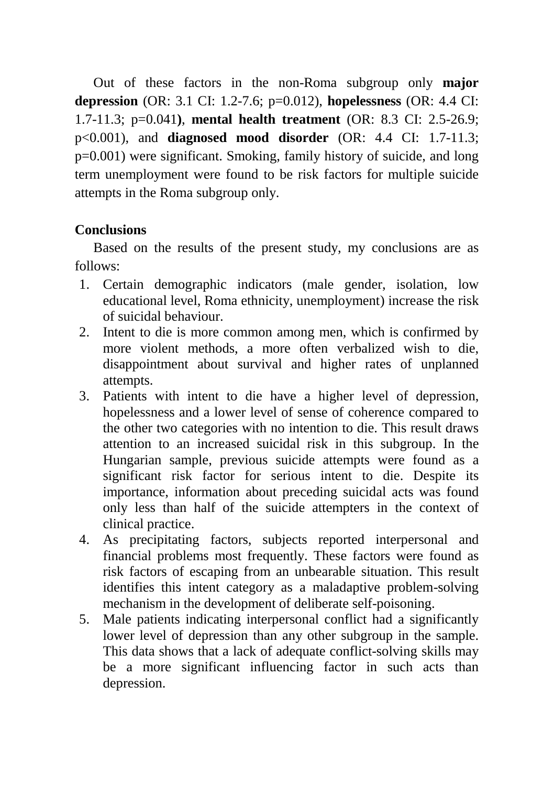Out of these factors in the non-Roma subgroup only **major depression** (OR: 3.1 CI: 1.2-7.6; p=0.012), **hopelessness** (OR: 4.4 CI: 1.7-11.3; p=0.041**)**, **mental health treatment** (OR: 8.3 CI: 2.5-26.9; p<0.001), and **diagnosed mood disorder** (OR: 4.4 CI: 1.7-11.3; p=0.001) were significant. Smoking, family history of suicide, and long term unemployment were found to be risk factors for multiple suicide attempts in the Roma subgroup only.

# **Conclusions**

Based on the results of the present study, my conclusions are as follows:

- 1. Certain demographic indicators (male gender, isolation, low educational level, Roma ethnicity, unemployment) increase the risk of suicidal behaviour.
- 2. Intent to die is more common among men, which is confirmed by more violent methods, a more often verbalized wish to die, disappointment about survival and higher rates of unplanned attempts.
- 3. Patients with intent to die have a higher level of depression, hopelessness and a lower level of sense of coherence compared to the other two categories with no intention to die. This result draws attention to an increased suicidal risk in this subgroup. In the Hungarian sample, previous suicide attempts were found as a significant risk factor for serious intent to die. Despite its importance, information about preceding suicidal acts was found only less than half of the suicide attempters in the context of clinical practice.
- 4. As precipitating factors, subjects reported interpersonal and financial problems most frequently. These factors were found as risk factors of escaping from an unbearable situation. This result identifies this intent category as a maladaptive problem-solving mechanism in the development of deliberate self-poisoning.
- 5. Male patients indicating interpersonal conflict had a significantly lower level of depression than any other subgroup in the sample. This data shows that a lack of adequate conflict-solving skills may be a more significant influencing factor in such acts than depression.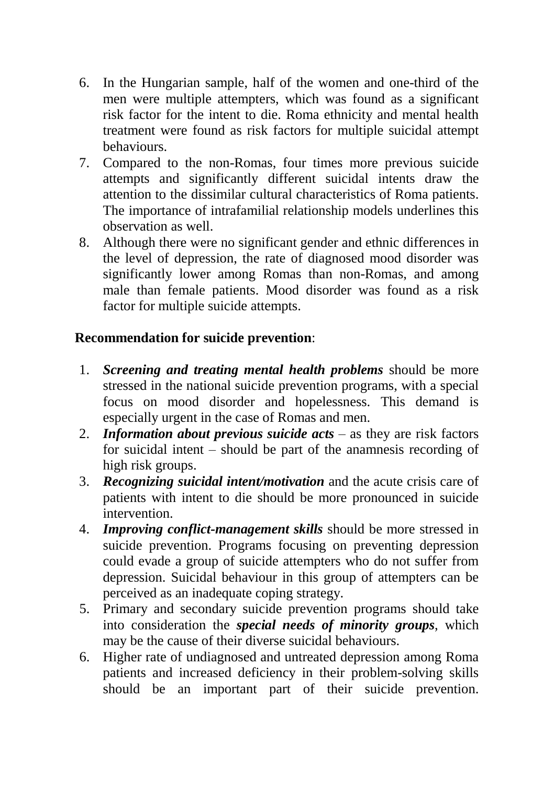- 6. In the Hungarian sample, half of the women and one-third of the men were multiple attempters, which was found as a significant risk factor for the intent to die. Roma ethnicity and mental health treatment were found as risk factors for multiple suicidal attempt behaviours.
- 7. Compared to the non-Romas, four times more previous suicide attempts and significantly different suicidal intents draw the attention to the dissimilar cultural characteristics of Roma patients. The importance of intrafamilial relationship models underlines this observation as well.
- 8. Although there were no significant gender and ethnic differences in the level of depression, the rate of diagnosed mood disorder was significantly lower among Romas than non-Romas, and among male than female patients. Mood disorder was found as a risk factor for multiple suicide attempts.

# **Recommendation for suicide prevention**:

- 1. *Screening and treating mental health problems* should be more stressed in the national suicide prevention programs, with a special focus on mood disorder and hopelessness. This demand is especially urgent in the case of Romas and men.
- 2. *Information about previous suicide acts* as they are risk factors for suicidal intent – should be part of the anamnesis recording of high risk groups.
- 3. *Recognizing suicidal intent/motivation* and the acute crisis care of patients with intent to die should be more pronounced in suicide intervention.
- 4. *Improving conflict-management skills* should be more stressed in suicide prevention. Programs focusing on preventing depression could evade a group of suicide attempters who do not suffer from depression. Suicidal behaviour in this group of attempters can be perceived as an inadequate coping strategy.
- 5. Primary and secondary suicide prevention programs should take into consideration the *special needs of minority groups*, which may be the cause of their diverse suicidal behaviours.
- 6. Higher rate of undiagnosed and untreated depression among Roma patients and increased deficiency in their problem-solving skills should be an important part of their suicide prevention.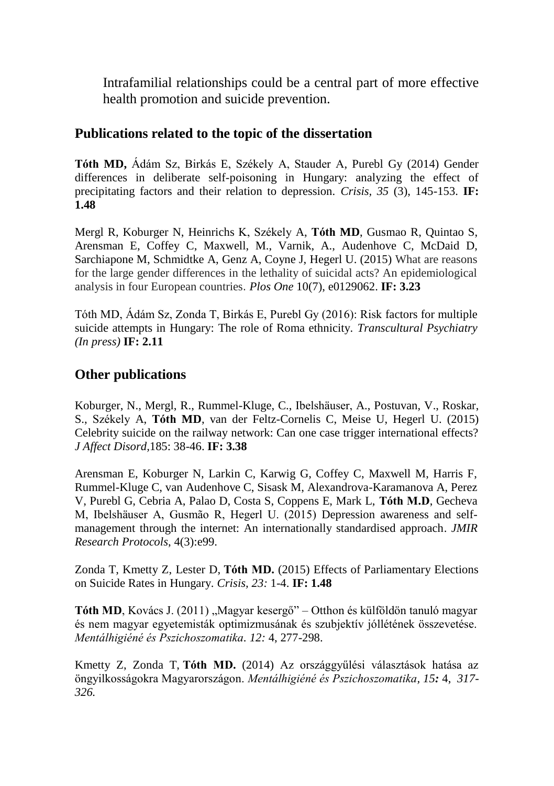Intrafamilial relationships could be a central part of more effective health promotion and suicide prevention.

### **Publications related to the topic of the dissertation**

**Tóth MD,** Ádám Sz, Birkás E, Székely A, Stauder A, Purebl Gy (2014) Gender differences in deliberate self-poisoning in Hungary: analyzing the effect of precipitating factors and their relation to depression. *Crisis, 35* (3), 145-153. **IF: 1.48**

Mergl R, Koburger N, Heinrichs K, Székely A, **Tóth MD**, Gusmao R, Quintao S, Arensman E, Coffey C, Maxwell, M., Varnik, A., Audenhove C, McDaid D, Sarchiapone M, Schmidtke A, Genz A, Coyne J, Hegerl U. (2015) What are reasons for the large gender differences in the lethality of suicidal acts? An epidemiological analysis in four European countries. *Plos One* 10(7), e0129062. **IF: 3.23**

Tóth MD, Ádám Sz, Zonda T, Birkás E, Purebl Gy (2016): Risk factors for multiple suicide attempts in Hungary: The role of Roma ethnicity. *Transcultural Psychiatry (In press)* **IF: 2.11**

# **Other publications**

Koburger, N., Mergl, R., Rummel-Kluge, C., Ibelshäuser, A., Postuvan, V., Roskar, S., Székely A, **Tóth MD**, van der Feltz-Cornelis C, Meise U, Hegerl U. (2015) Celebrity suicide on the railway network: Can one case trigger international effects? *J Affect Disord,*185: 38-46. **IF: 3.38**

Arensman E, Koburger N, Larkin C, Karwig G, Coffey C, Maxwell M, Harris F, Rummel-Kluge C, van Audenhove C, Sisask M, Alexandrova-Karamanova A, Perez V, Purebl G, Cebria A, Palao D, Costa S, Coppens E, Mark L, **Tóth M.D**, Gecheva M, Ibelshäuser A, Gusmão R, Hegerl U. (2015) Depression awareness and selfmanagement through the internet: An internationally standardised approach. *JMIR Research Protocols*, 4(3):e99.

Zonda T, Kmetty Z, Lester D, **Tóth MD.** (2015) Effects of Parliamentary Elections on Suicide Rates in Hungary. *Crisis, 23:* 1-4. **IF: 1.48**

**Tóth MD**, Kovács J. (2011) "Magyar kesergő" – Otthon és külföldön tanuló magyar és nem magyar egyetemisták optimizmusának és szubjektív jóllétének összevetése. *Mentálhigiéné és Pszichoszomatika. 12:* 4, 277-298.

Kmetty Z, Zonda T, **Tóth MD.** (2014) Az országgyűlési választások hatása az öngyilkosságokra Magyarországon. *Mentálhigiéné és Pszichoszomatika, 15:* 4, *317- 326.*